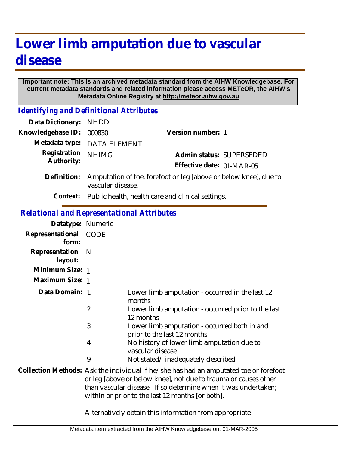# **Lower limb amputation due to vascular disease**

#### **Important note: This is an archived metadata standard from the AIHW Knowledgebase. For current metadata standards and related information please access METeOR, the AIHW's Metadata Online Registry at http://meteor.aihw.gov.au**

*Identifying and Definitional Attributes*

| Data Dictionary: NHDD      |                                                                                       |                           |                          |
|----------------------------|---------------------------------------------------------------------------------------|---------------------------|--------------------------|
| Knowledgebase ID:          | 000830                                                                                | Version number: 1         |                          |
|                            | Metadata type: DATA ELEMENT                                                           |                           |                          |
| Registration<br>Authority: | <b>NHIMG</b>                                                                          |                           | Admin status: SUPERSEDED |
|                            |                                                                                       | Effective date: 01-MAR-05 |                          |
| Definition:                | Amputation of toe, forefoot or leg [above or below knee], due to<br>vascular disease. |                           |                          |
|                            | Context: Public health, health care and clinical settings.                            |                           |                          |

### *Relational and Representational Attributes*

| Datatype: Numeric         |                                                                                                                                                                                                                                                                                |                                                                             |  |
|---------------------------|--------------------------------------------------------------------------------------------------------------------------------------------------------------------------------------------------------------------------------------------------------------------------------|-----------------------------------------------------------------------------|--|
| Representational<br>form: | CODE                                                                                                                                                                                                                                                                           |                                                                             |  |
| Representation<br>layout: | N                                                                                                                                                                                                                                                                              |                                                                             |  |
| Minimum Size: 1           |                                                                                                                                                                                                                                                                                |                                                                             |  |
| Maximum Size: 1           |                                                                                                                                                                                                                                                                                |                                                                             |  |
| Data Domain: 1            |                                                                                                                                                                                                                                                                                | Lower limb amputation - occurred in the last 12<br>months                   |  |
|                           | $\overline{2}$                                                                                                                                                                                                                                                                 | Lower limb amputation - occurred prior to the last<br>12 months             |  |
|                           | 3                                                                                                                                                                                                                                                                              | Lower limb amputation - occurred both in and<br>prior to the last 12 months |  |
|                           | 4                                                                                                                                                                                                                                                                              | No history of lower limb amputation due to<br>vascular disease              |  |
|                           | 9                                                                                                                                                                                                                                                                              | Not stated/inadequately described                                           |  |
|                           | Collection Methods: Ask the individual if he/she has had an amputated toe or forefoot<br>or leg [above or below knee], not due to trauma or causes other<br>than vascular disease. If so determine when it was undertaken;<br>within or prior to the last 12 months [or both]. |                                                                             |  |
|                           | Alternatively obtain this information from appropriate                                                                                                                                                                                                                         |                                                                             |  |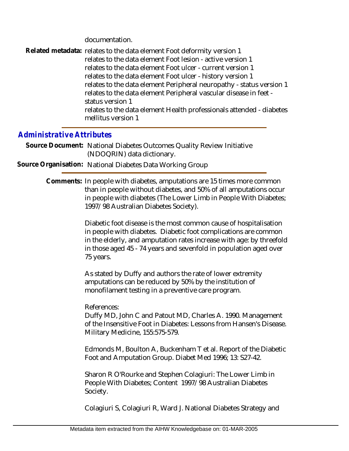documentation.

Related metadata: relates to the data element Foot deformity version 1 relates to the data element Foot lesion - active version 1 relates to the data element Foot ulcer - current version 1 relates to the data element Foot ulcer - history version 1 relates to the data element Peripheral neuropathy - status version 1 relates to the data element Peripheral vascular disease in feet status version 1 relates to the data element Health professionals attended - diabetes mellitus version 1

### *Administrative Attributes*

Source Document: National Diabetes Outcomes Quality Review Initiative (NDOQRIN) data dictionary.

**Source Organisation:** National Diabetes Data Working Group

Comments: In people with diabetes, amputations are 15 times more common than in people without diabetes, and 50% of all amputations occur in people with diabetes (The Lower Limb in People With Diabetes; 1997/98 Australian Diabetes Society).

> Diabetic foot disease is the most common cause of hospitalisation in people with diabetes. Diabetic foot complications are common in the elderly, and amputation rates increase with age: by threefold in those aged 45 - 74 years and sevenfold in population aged over 75 years.

As stated by Duffy and authors the rate of lower extremity amputations can be reduced by 50% by the institution of monofilament testing in a preventive care program.

References:

Duffy MD, John C and Patout MD, Charles A. 1990. Management of the Insensitive Foot in Diabetes: Lessons from Hansen's Disease. Military Medicine, 155:575-579.

Edmonds M, Boulton A, Buckenham T et al. Report of the Diabetic Foot and Amputation Group. Diabet Med 1996; 13: S27-42.

Sharon R O'Rourke and Stephen Colagiuri: The Lower Limb in People With Diabetes; Content 1997/98 Australian Diabetes Society.

Colagiuri S, Colagiuri R, Ward J. National Diabetes Strategy and